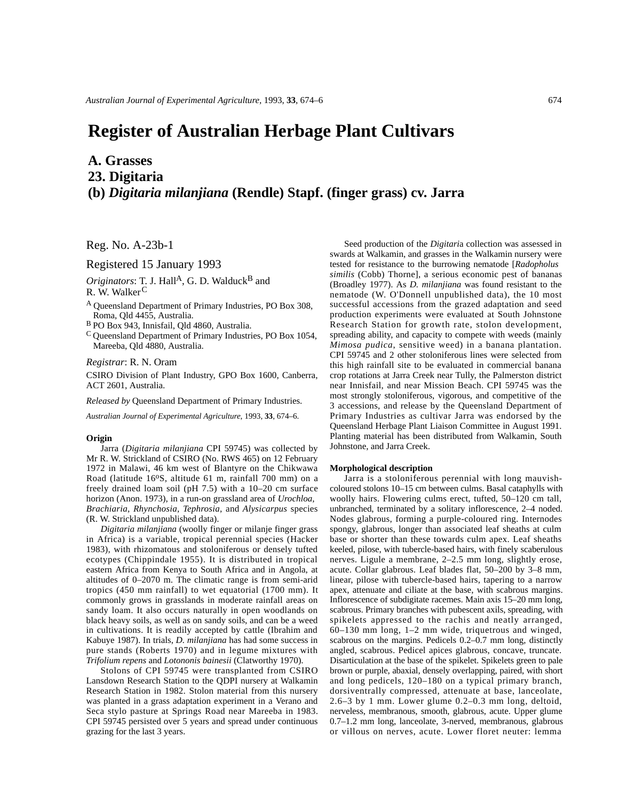# **Register of Australian Herbage Plant Cultivars**

**A. Grasses**

**23. Digitaria**

# **(b)** *Digitaria milanjiana* **(Rendle) Stapf. (finger grass) cv. Jarra**

Reg. No. A-23b-1

Registered 15 January 1993

*Originators*: T. J. Hall<sup>A</sup>, G. D. Walduck<sup>B</sup> and R. W. Walker<sup>C</sup>

A Queensland Department of Primary Industries, PO Box 308, Roma, Qld 4455, Australia.

B PO Box 943, Innisfail, Qld 4860, Australia.

C Queensland Department of Primary Industries, PO Box 1054, Mareeba, Qld 4880, Australia.

*Registrar*: R. N. Oram

CSIRO Division of Plant Industry, GPO Box 1600, Canberra, ACT 2601, Australia.

*Released by* Queensland Department of Primary Industries.

*Australian Journal of Experimental Agriculture*, 1993, **33**, 674–6.

### **Origin**

Jarra (*Digitaria milanjiana* CPI 59745) was collected by Mr R. W. Strickland of CSIRO (No. RWS 465) on 12 February 1972 in Malawi, 46 km west of Blantyre on the Chikwawa Road (latitude 16°S, altitude 61 m, rainfall 700 mm) on a freely drained loam soil (pH 7.5) with a 10–20 cm surface horizon (Anon. 1973), in a run-on grassland area of *Urochloa, Brachiaria, Rhynchosia, Tephrosia,* and *Alysicarpus* species (R. W. Strickland unpublished data).

*Digitaria milanjiana* (woolly finger or milanje finger grass in Africa) is a variable, tropical perennial species (Hacker 1983), with rhizomatous and stoloniferous or densely tufted ecotypes (Chippindale 1955). It is distributed in tropical eastern Africa from Kenya to South Africa and in Angola, at altitudes of 0–2070 m. The climatic range is from semi-arid tropics (450 mm rainfall) to wet equatorial (1700 mm). It commonly grows in grasslands in moderate rainfall areas on sandy loam. It also occurs naturally in open woodlands on black heavy soils, as well as on sandy soils, and can be a weed in cultivations. It is readily accepted by cattle (Ibrahim and Kabuye 1987). In trials, *D. milanjiana* has had some success in pure stands (Roberts 1970) and in legume mixtures with *Trifolium repens* and *Lotononis bainesii* (Clatworthy 1970).

Stolons of CPI 59745 were transplanted from CSIRO Lansdown Research Station to the QDPI nursery at Walkamin Research Station in 1982. Stolon material from this nursery was planted in a grass adaptation experiment in a Verano and Seca stylo pasture at Springs Road near Mareeba in 1983. CPI 59745 persisted over 5 years and spread under continuous grazing for the last 3 years.

Seed production of the *Digitari*a collection was assessed in swards at Walkamin, and grasses in the Walkamin nursery were tested for resistance to the burrowing nematode [*Radopholus similis* (Cobb) Thorne], a serious economic pest of bananas (Broadley 1977). As *D. milanjiana* was found resistant to the nematode (W. O'Donnell unpublished data), the 10 most successful accessions from the grazed adaptation and seed production experiments were evaluated at South Johnstone Research Station for growth rate, stolon development, spreading ability, and capacity to compete with weeds (mainly *Mimosa pudica*, sensitive weed) in a banana plantation. CPI 59745 and 2 other stoloniferous lines were selected from this high rainfall site to be evaluated in commercial banana crop rotations at Jarra Creek near Tully, the Palmerston district near Innisfail, and near Mission Beach. CPI 59745 was the most strongly stoloniferous, vigorous, and competitive of the 3 accessions, and release by the Queensland Department of Primary Industries as cultivar Jarra was endorsed by the Queensland Herbage Plant Liaison Committee in August 1991. Planting material has been distributed from Walkamin, South Johnstone, and Jarra Creek.

# **Morphological description**

Jarra is a stoloniferous perennial with long mauvishcoloured stolons 10–15 cm between culms. Basal cataphylls with woolly hairs. Flowering culms erect, tufted, 50–120 cm tall, unbranched, terminated by a solitary inflorescence, 2–4 noded. Nodes glabrous, forming a purple-coloured ring. Internodes spongy, glabrous, longer than associated leaf sheaths at culm base or shorter than these towards culm apex. Leaf sheaths keeled, pilose, with tubercle-based hairs, with finely scaberulous nerves. Ligule a membrane, 2–2.5 mm long, slightly erose, acute. Collar glabrous. Leaf blades flat, 50–200 by 3–8 mm, linear, pilose with tubercle-based hairs, tapering to a narrow apex, attenuate and ciliate at the base, with scabrous margins. Inflorescence of subdigitate racemes. Main axis 15–20 mm long, scabrous. Primary branches with pubescent axils, spreading, with spikelets appressed to the rachis and neatly arranged, 60–130 mm long, 1–2 mm wide, triquetrous and winged, scabrous on the margins. Pedicels 0.2–0.7 mm long, distinctly angled, scabrous. Pedicel apices glabrous, concave, truncate. Disarticulation at the base of the spikelet. Spikelets green to pale brown or purple, abaxial, densely overlapping, paired, with short and long pedicels, 120–180 on a typical primary branch, dorsiventrally compressed, attenuate at base, lanceolate, 2.6–3 by 1 mm. Lower glume 0.2–0.3 mm long, deltoid, nerveless, membranous, smooth, glabrous, acute. Upper glume 0.7–1.2 mm long, lanceolate, 3-nerved, membranous, glabrous or villous on nerves, acute. Lower floret neuter: lemma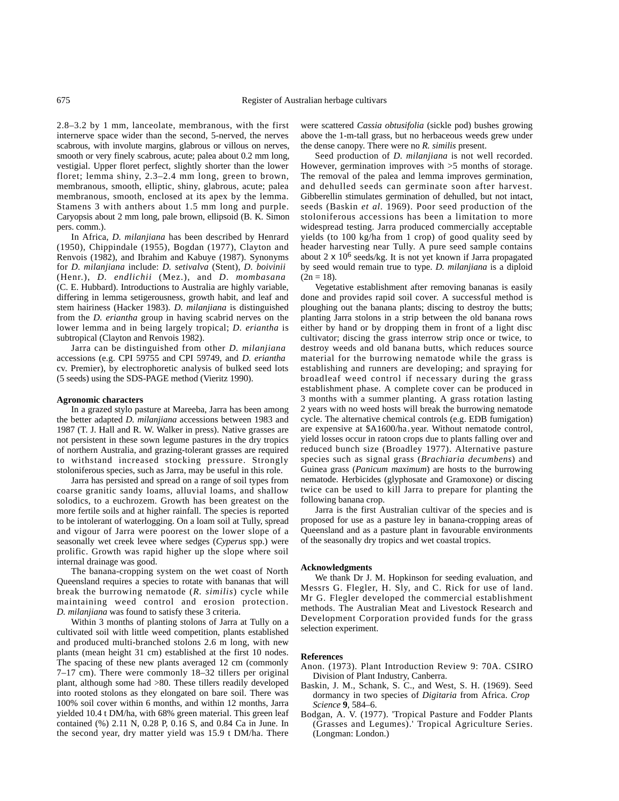2.8–3.2 by 1 mm, lanceolate, membranous, with the first internerve space wider than the second, 5-nerved, the nerves scabrous, with involute margins, glabrous or villous on nerves, smooth or very finely scabrous, acute; palea about 0.2 mm long, vestigial. Upper floret perfect, slightly shorter than the lower floret; lemma shiny, 2.3–2.4 mm long, green to brown, membranous, smooth, elliptic, shiny, glabrous, acute; palea membranous, smooth, enclosed at its apex by the lemma. Stamens 3 with anthers about 1.5 mm long and purple. Caryopsis about 2 mm long, pale brown, ellipsoid (B. K. Simon pers. comm.).

In Africa, *D. milanjiana* has been described by Henrard (1950), Chippindale (1955), Bogdan (1977), Clayton and Renvois (1982), and Ibrahim and Kabuye (1987). Synonyms for *D. milanjiana* include: *D. setivalva* (Stent), *D. boivinii* (Henr.), *D. endlichii* (Mez.), and *D. mombasana* (C. E. Hubbard). Introductions to Australia are highly variable, differing in lemma setigerousness, growth habit, and leaf and stem hairiness (Hacker 1983). *D. milanjiana* is distinguished from the *D. eriantha* group in having scabrid nerves on the lower lemma and in being largely tropical; *D. eriantha* is subtropical (Clayton and Renvois 1982).

Jarra can be distinguished from other *D. milanjiana* accessions (e.g. CPI 59755 and CPI 59749, and *D. eriantha* cv. Premier), by electrophoretic analysis of bulked seed lots (5 seeds) using the SDS-PAGE method (Vieritz 1990).

## **Agronomic characters**

In a grazed stylo pasture at Mareeba, Jarra has been among the better adapted *D. milanjiana* accessions between 1983 and 1987 (T. J. Hall and R. W. Walker in press). Native grasses are not persistent in these sown legume pastures in the dry tropics of northern Australia, and grazing-tolerant grasses are required to withstand increased stocking pressure. Strongly stoloniferous species, such as Jarra, may be useful in this role.

Jarra has persisted and spread on a range of soil types from coarse granitic sandy loams, alluvial loams, and shallow solodics, to a euchrozem. Growth has been greatest on the more fertile soils and at higher rainfall. The species is reported to be intolerant of waterlogging. On a loam soil at Tully, spread and vigour of Jarra were poorest on the lower slope of a seasonally wet creek levee where sedges (*Cyperus* spp.) were prolific. Growth was rapid higher up the slope where soil internal drainage was good.

The banana-cropping system on the wet coast of North Queensland requires a species to rotate with bananas that will break the burrowing nematode (*R. similis*) cycle while maintaining weed control and erosion protection. *D. milanjiana* was found to satisfy these 3 criteria.

Within 3 months of planting stolons of Jarra at Tully on a cultivated soil with little weed competition, plants established and produced multi-branched stolons 2.6 m long, with new plants (mean height 31 cm) established at the first 10 nodes. The spacing of these new plants averaged 12 cm (commonly 7–17 cm). There were commonly 18–32 tillers per original plant, although some had >80. These tillers readily developed into rooted stolons as they elongated on bare soil. There was 100% soil cover within 6 months, and within 12 months, Jarra yielded 10.4 t DM/ha, with 68% green material. This green leaf contained (%) 2.11 N, 0.28 P, 0.16 S, and 0.84 Ca in June. In the second year, dry matter yield was 15.9 t DM/ha. There

were scattered *Cassia obtusifolia* (sickle pod) bushes growing above the 1-m-tall grass, but no herbaceous weeds grew under the dense canopy. There were no *R. similis* present.

Seed production of *D. milanjiana* is not well recorded. However, germination improves with >5 months of storage. The removal of the palea and lemma improves germination, and dehulled seeds can germinate soon after harvest. Gibberellin stimulates germination of dehulled, but not intact, seeds (Baskin *et al.* 1969). Poor seed production of the stoloniferous accessions has been a limitation to more widespread testing. Jarra produced commercially acceptable yields (to 100 kg/ha from 1 crop) of good quality seed by header harvesting near Tully. A pure seed sample contains about 2 x 10<sup>6</sup> seeds/kg. It is not yet known if Jarra propagated by seed would remain true to type. *D. milanjiana* is a diploid  $(2n = 18)$ .

Vegetative establishment after removing bananas is easily done and provides rapid soil cover. A successful method is ploughing out the banana plants; discing to destroy the butts; planting Jarra stolons in a strip between the old banana rows either by hand or by dropping them in front of a light disc cultivator; discing the grass interrow strip once or twice, to destroy weeds and old banana butts, which reduces source material for the burrowing nematode while the grass is establishing and runners are developing; and spraying for broadleaf weed control if necessary during the grass establishment phase. A complete cover can be produced in 3 months with a summer planting. A grass rotation lasting 2 years with no weed hosts will break the burrowing nematode cycle. The alternative chemical controls (e.g. EDB fumigation) are expensive at \$A1600/ha.year. Without nematode control, yield losses occur in ratoon crops due to plants falling over and reduced bunch size (Broadley 1977). Alternative pasture species such as signal grass (*Brachiaria decumbens*) and Guinea grass (*Panicum maximum*) are hosts to the burrowing nematode. Herbicides (glyphosate and Gramoxone) or discing twice can be used to kill Jarra to prepare for planting the following banana crop.

Jarra is the first Australian cultivar of the species and is proposed for use as a pasture ley in banana-cropping areas of Queensland and as a pasture plant in favourable environments of the seasonally dry tropics and wet coastal tropics.

### **Acknowledgments**

We thank Dr J. M. Hopkinson for seeding evaluation, and Messrs G. Flegler, H. Sly, and C. Rick for use of land. Mr G. Flegler developed the commercial establishment methods. The Australian Meat and Livestock Research and Development Corporation provided funds for the grass selection experiment.

# **References**

- Anon. (1973). Plant Introduction Review 9: 70A. CSIRO Division of Plant Industry, Canberra.
- Baskin, J. M., Schank, S. C., and West, S. H. (1969). Seed dormancy in two species of *Digitaria* from Africa. *Crop Science* **9**, 584–6.
- Bodgan, A. V. (1977). 'Tropical Pasture and Fodder Plants (Grasses and Legumes).' Tropical Agriculture Series. (Longman: London.)